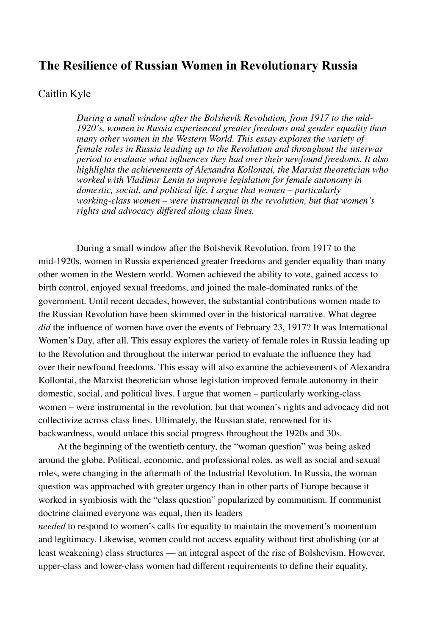# **The Resilience of Russian Women in Revolutionary Russia**

## Caitlin Kyle

*During a small window after the Bolshevik Revolution, from 1917 to the mid-1920's, women in Russia experienced greater freedoms and gender equality than many other women in the Western World. This essay explores the variety of female roles in Russia leading up to the Revolution and throughout the interwar period to evaluate what influences they had over their newfound freedoms. It also highlights the achievements of Alexandra Kollontai, the Marxist theoretician who worked with Vladimir Lenin to improve legislation for female autonomy in domestic, social, and political life. I argue that women – particularly working-class women – were instrumental in the revolution, but that women's rights and advocacy differed along class lines.*

During a small window after the Bolshevik Revolution, from 1917 to the mid-1920s, women in Russia experienced greater freedoms and gender equality than many other women in the Western world. Women achieved the ability to vote, gained access to birth control, enjoyed sexual freedoms, and joined the male-dominated ranks of the government. Until recent decades, however, the substantial contributions women made to the Russian Revolution have been skimmed over in the historical narrative. What degree *did* the influence of women have over the events of February 23, 1917? It was International Women's Day, after all. This essay explores the variety of female roles in Russia leading up to the Revolution and throughout the interwar period to evaluate the influence they had over their newfound freedoms. This essay will also examine the achievements of Alexandra Kollontai, the Marxist theoretician whose legislation improved female autonomy in their domestic, social, and political lives. I argue that women – particularly working-class women – were instrumental in the revolution, but that women's rights and advocacy did not collectivize across class lines. Ultimately, the Russian state, renowned for its backwardness, would unlace this social progress throughout the 1920s and 30s.

At the beginning of the twentieth century, the "woman question" was being asked around the globe. Political, economic, and professional roles, as well as social and sexual roles, were changing in the aftermath of the Industrial Revolution. In Russia, the woman question was approached with greater urgency than in other parts of Europe because it worked in symbiosis with the "class question" popularized by communism. If communist doctrine claimed everyone was equal, then its leaders

*needed* to respond to women's calls for equality to maintain the movement's momentum and legitimacy. Likewise, women could not access equality without first abolishing (or at least weakening) class structures — an integral aspect of the rise of Bolshevism. However, upper-class and lower-class women had different requirements to define their equality.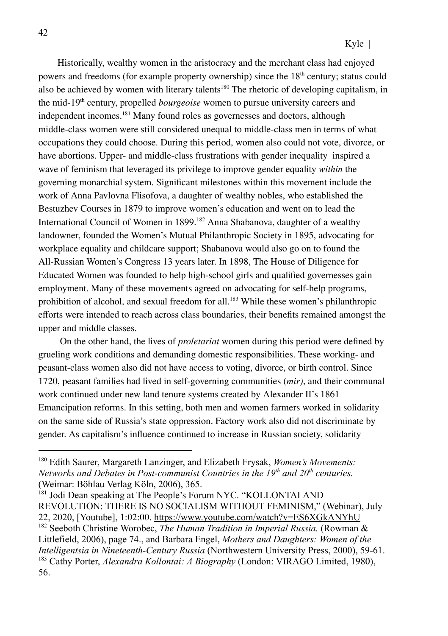Historically, wealthy women in the aristocracy and the merchant class had enjoyed powers and freedoms (for example property ownership) since the  $18<sup>th</sup>$  century; status could also be achieved by women with literary talents<sup>180</sup> The rhetoric of developing capitalism, in the mid-19th century, propelled *bourgeoise* women to pursue university careers and independent incomes. <sup>181</sup> Many found roles as governesses and doctors, although middle-class women were still considered unequal to middle-class men in terms of what occupations they could choose. During this period, women also could not vote, divorce, or have abortions. Upper- and middle-class frustrations with gender inequality inspired a wave of feminism that leveraged its privilege to improve gender equality *within* the governing monarchial system. Significant milestones within this movement include the work of Anna Pavlovna Flisofova, a daughter of wealthy nobles, who established the Bestuzhev Courses in 1879 to improve women's education and went on to lead the International Council of Women in 1899.<sup>182</sup> Anna Shabanova, daughter of a wealthy landowner, founded the Women's Mutual Philanthropic Society in 1895, advocating for workplace equality and childcare support; Shabanova would also go on to found the All-Russian Women's Congress 13 years later. In 1898, The House of Diligence for Educated Women was founded to help high-school girls and qualified governesses gain employment. Many of these movements agreed on advocating for self-help programs, prohibition of alcohol, and sexual freedom for all. <sup>183</sup> While these women's philanthropic efforts were intended to reach across class boundaries, their benefits remained amongst the upper and middle classes.

On the other hand, the lives of *proletariat* women during this period were defined by grueling work conditions and demanding domestic responsibilities. These working- and peasant-class women also did not have access to voting, divorce, or birth control. Since 1720, peasant families had lived in self-governing communities (*mir)*, and their communal work continued under new land tenure systems created by Alexander II's 1861 Emancipation reforms. In this setting, both men and women farmers worked in solidarity on the same side of Russia's state oppression. Factory work also did not discriminate by gender. As capitalism's influence continued to increase in Russian society, solidarity

<sup>183</sup> Cathy Porter, *Alexandra Kollontai: A Biography* (London: VIRAGO Limited, 1980), 56. <sup>182</sup> Seeboth Christine Worobec, *The Human Tradition in Imperial Russia.* (Rowman & Littlefield, 2006), page 74., and Barbara Engel, *Mothers and Daughters: Women of the Intelligentsia in Nineteenth-Century Russia* (Northwestern University Press, 2000), 59-61. <sup>181</sup> Jodi Dean speaking at The People's Forum NYC. "KOLLONTAI AND REVOLUTION: THERE IS NO SOCIALISM WITHOUT FEMINISM," (Webinar), July 22, 2020, [Youtube], 1:02:00. https://www.youtube.com/watch?v=ES6XGkANYhU

<sup>180</sup> Edith Saurer, Margareth Lanzinger, and Elizabeth Frysak, *Women's Movements: Networks and Debates in Post-communist Countries in the 19th and 20th centuries.* (Weimar: Böhlau Verlag Köln, 2006), 365.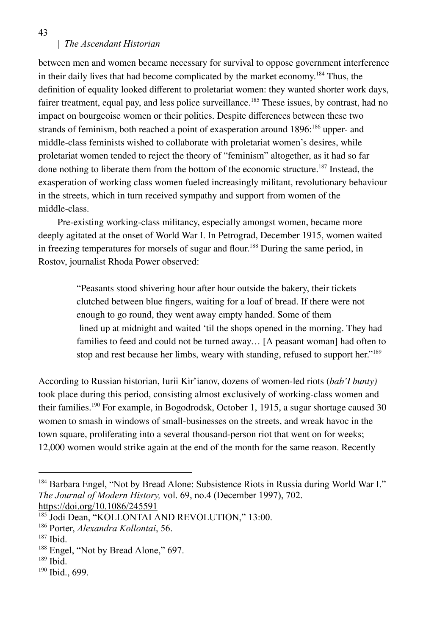between men and women became necessary for survival to oppose government interference in their daily lives that had become complicated by the market economy. <sup>184</sup> Thus, the definition of equality looked different to proletariat women: they wanted shorter work days, fairer treatment, equal pay, and less police surveillance.<sup>185</sup> These issues, by contrast, had no impact on bourgeoise women or their politics. Despite differences between these two strands of feminism, both reached a point of exasperation around 1896;<sup>186</sup> upper- and middle-class feminists wished to collaborate with proletariat women's desires, while proletariat women tended to reject the theory of "feminism" altogether, as it had so far done nothing to liberate them from the bottom of the economic structure. 187 Instead, the exasperation of working class women fueled increasingly militant, revolutionary behaviour in the streets, which in turn received sympathy and support from women of the middle-class.

Pre-existing working-class militancy, especially amongst women, became more deeply agitated at the onset of World War I. In Petrograd, December 1915, women waited in freezing temperatures for morsels of sugar and flour. <sup>188</sup> During the same period, in Rostov, journalist Rhoda Power observed:

> "Peasants stood shivering hour after hour outside the bakery, their tickets clutched between blue fingers, waiting for a loaf of bread. If there were not enough to go round, they went away empty handed. Some of them lined up at midnight and waited 'til the shops opened in the morning. They had families to feed and could not be turned away… [A peasant woman] had often to stop and rest because her limbs, weary with standing, refused to support her." 189

According to Russian historian, Iurii Kir'ianov, dozens of women-led riots (*bab'I bunty)* took place during this period, consisting almost exclusively of working-class women and their families.<sup>190</sup> For example, in Bogodrodsk, October 1, 1915, a sugar shortage caused 30 women to smash in windows of small-businesses on the streets, and wreak havoc in the town square, proliferating into a several thousand-person riot that went on for weeks; 12,000 women would strike again at the end of the month for the same reason. Recently

https://doi.org/10.1086/245591

43

<sup>&</sup>lt;sup>184</sup> Barbara Engel, "Not by Bread Alone: Subsistence Riots in Russia during World War I." *The Journal of Modern History,* vol. 69, no.4 (December 1997), 702.

<sup>&</sup>lt;sup>185</sup> Jodi Dean, "KOLLONTAI AND REVOLUTION," 13:00.

<sup>186</sup> Porter, *Alexandra Kollontai*, 56.

<sup>187</sup> Ibid.

<sup>&</sup>lt;sup>188</sup> Engel, "Not by Bread Alone," 697.

<sup>189</sup> Ibid.

<sup>190</sup> Ibid., 699.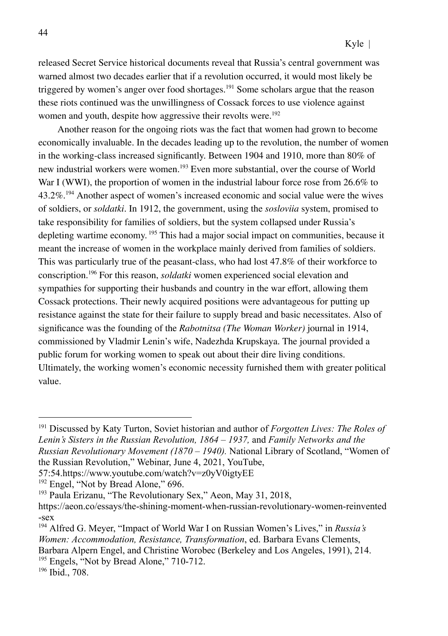released Secret Service historical documents reveal that Russia's central government was warned almost two decades earlier that if a revolution occurred, it would most likely be triggered by women's anger over food shortages. <sup>191</sup> Some scholars argue that the reason these riots continued was the unwillingness of Cossack forces to use violence against women and youth, despite how aggressive their revolts were.<sup>192</sup>

Another reason for the ongoing riots was the fact that women had grown to become economically invaluable. In the decades leading up to the revolution, the number of women in the working-class increased significantly. Between 1904 and 1910, more than 80% of new industrial workers were women.<sup>193</sup> Even more substantial, over the course of World War I (WWI), the proportion of women in the industrial labour force rose from 26.6% to 43.2%.<sup>194</sup> Another aspect of women's increased economic and social value were the wives of soldiers, or *soldatki*. In 1912, the government, using the *sosloviia* system, promised to take responsibility for families of soldiers, but the system collapsed under Russia's depleting wartime economy. <sup>195</sup> This had a major social impact on communities, because it meant the increase of women in the workplace mainly derived from families of soldiers. This was particularly true of the peasant-class, who had lost 47.8% of their workforce to conscription.<sup>196</sup> For this reason, *soldatki* women experienced social elevation and sympathies for supporting their husbands and country in the war effort, allowing them Cossack protections. Their newly acquired positions were advantageous for putting up resistance against the state for their failure to supply bread and basic necessitates. Also of significance was the founding of the *Rabotnitsa (The Woman Worker)* journal in 1914, commissioned by Vladmir Lenin's wife, Nadezhda Krupskaya. The journal provided a public forum for working women to speak out about their dire living conditions. Ultimately, the working women's economic necessity furnished them with greater political value.

<sup>195</sup> Engels, "Not by Bread Alone," 710-712.

<sup>191</sup> Discussed by Katy Turton, Soviet historian and author of *Forgotten Lives: The Roles of Lenin's Sisters in the Russian Revolution, 1864 – 1937,* and *Family Networks and the Russian Revolutionary Movement (1870 – 1940).* National Library of Scotland, "Women of the Russian Revolution," Webinar, June 4, 2021, YouTube,

<sup>57:54.</sup>https://www.youtube.com/watch?v=z0yV0igtyEE

<sup>&</sup>lt;sup>192</sup> Engel, "Not by Bread Alone," 696.

<sup>&</sup>lt;sup>193</sup> Paula Erizanu, "The Revolutionary Sex," Aeon, May 31, 2018,

https://aeon.co/essays/the-shining-moment-when-russian-revolutionary-women-reinvented -sex

<sup>194</sup> Alfred G. Meyer, "Impact of World War I on Russian Women's Lives," in *Russia's Women: Accommodation, Resistance, Transformation*, ed. Barbara Evans Clements, Barbara Alpern Engel, and Christine Worobec (Berkeley and Los Angeles, 1991), 214.

<sup>196</sup> Ibid., 708.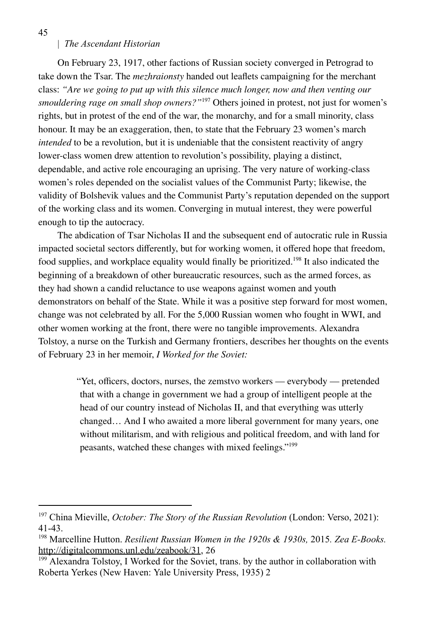On February 23, 1917, other factions of Russian society converged in Petrograd to take down the Tsar. The *mezhraionsty* handed out leaflets campaigning for the merchant class: *"Are we going to put up with this silence much longer, now and then venting our smouldering rage on small shop owners?"*<sup>197</sup> Others joined in protest, not just for women's rights, but in protest of the end of the war, the monarchy, and for a small minority, class honour. It may be an exaggeration, then, to state that the February 23 women's march *intended* to be a revolution, but it is undeniable that the consistent reactivity of angry lower-class women drew attention to revolution's possibility, playing a distinct, dependable, and active role encouraging an uprising. The very nature of working-class women's roles depended on the socialist values of the Communist Party; likewise, the validity of Bolshevik values and the Communist Party's reputation depended on the support of the working class and its women. Converging in mutual interest, they were powerful enough to tip the autocracy.

The abdication of Tsar Nicholas II and the subsequent end of autocratic rule in Russia impacted societal sectors differently, but for working women, it offered hope that freedom, food supplies, and workplace equality would finally be prioritized.<sup>198</sup> It also indicated the beginning of a breakdown of other bureaucratic resources, such as the armed forces, as they had shown a candid reluctance to use weapons against women and youth demonstrators on behalf of the State. While it was a positive step forward for most women, change was not celebrated by all. For the 5,000 Russian women who fought in WWI, and other women working at the front, there were no tangible improvements. Alexandra Tolstoy, a nurse on the Turkish and Germany frontiers, describes her thoughts on the events of February 23 in her memoir, *I Worked for the Soviet:*

> "Yet, officers, doctors, nurses, the zemstvo workers — everybody — pretended that with a change in government we had a group of intelligent people at the head of our country instead of Nicholas II, and that everything was utterly changed… And I who awaited a more liberal government for many years, one without militarism, and with religious and political freedom, and with land for peasants, watched these changes with mixed feelings." 199

45

<sup>197</sup> China Mieville, *October: The Story of the Russian Revolution* (London: Verso, 2021): 41-43.

<sup>198</sup> Marcelline Hutton. *Resilient Russian Women in the 1920s & 1930s,* 2015*. Zea E-Books.* http://digitalcommons.unl.edu/zeabook/31, 26

<sup>&</sup>lt;sup>199</sup> Alexandra Tolstoy, I Worked for the Soviet, trans. by the author in collaboration with Roberta Yerkes (New Haven: Yale University Press, 1935) 2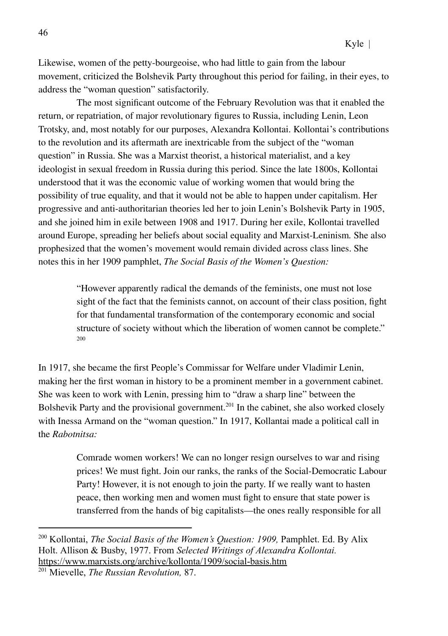Likewise, women of the petty-bourgeoise, who had little to gain from the labour movement, criticized the Bolshevik Party throughout this period for failing, in their eyes, to address the "woman question" satisfactorily.

The most significant outcome of the February Revolution was that it enabled the return, or repatriation, of major revolutionary figures to Russia, including Lenin, Leon Trotsky, and, most notably for our purposes, Alexandra Kollontai. Kollontai's contributions to the revolution and its aftermath are inextricable from the subject of the "woman question" in Russia. She was a Marxist theorist, a historical materialist, and a key ideologist in sexual freedom in Russia during this period. Since the late 1800s, Kollontai understood that it was the economic value of working women that would bring the possibility of true equality, and that it would not be able to happen under capitalism. Her progressive and anti-authoritarian theories led her to join Lenin's Bolshevik Party in 1905, and she joined him in exile between 1908 and 1917. During her exile, Kollontai travelled around Europe, spreading her beliefs about social equality and Marxist-Leninism*.* She also prophesized that the women's movement would remain divided across class lines. She notes this in her 1909 pamphlet, *The Social Basis of the Women's Question:*

> "However apparently radical the demands of the feminists, one must not lose sight of the fact that the feminists cannot, on account of their class position, fight for that fundamental transformation of the contemporary economic and social structure of society without which the liberation of women cannot be complete." 200

In 1917, she became the first People's Commissar for Welfare under Vladimir Lenin, making her the first woman in history to be a prominent member in a government cabinet. She was keen to work with Lenin, pressing him to "draw a sharp line" between the Bolshevik Party and the provisional government. 201 In the cabinet, she also worked closely with Inessa Armand on the "woman question." In 1917, Kollantai made a political call in the *Rabotnitsa:*

> Comrade women workers! We can no longer resign ourselves to war and rising prices! We must fight. Join our ranks, the ranks of the Social-Democratic Labour Party! However, it is not enough to join the party. If we really want to hasten peace, then working men and women must fight to ensure that state power is transferred from the hands of big capitalists—the ones really responsible for all

<sup>200</sup> Kollontai, *The Social Basis of the Women's Question: 1909,* Pamphlet. Ed. By Alix Holt. Allison & Busby, 1977. From *Selected Writings of Alexandra Kollontai.* https://www.marxists.org/archive/kollonta/1909/social-basis.htm

<sup>201</sup> Mievelle, *The Russian Revolution,* 87.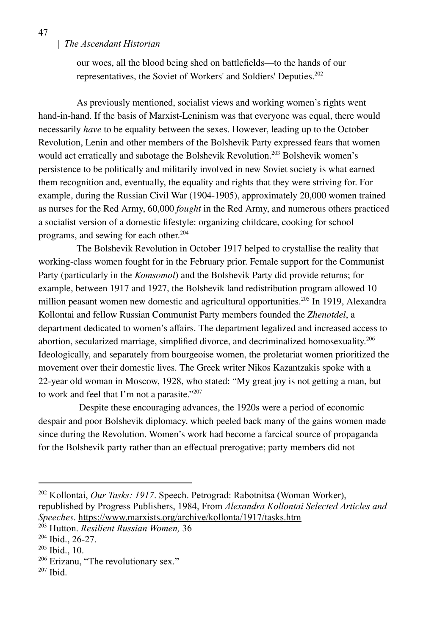our woes, all the blood being shed on battlefields—to the hands of our representatives, the Soviet of Workers' and Soldiers' Deputies. 202

As previously mentioned, socialist views and working women's rights went hand-in-hand. If the basis of Marxist-Leninism was that everyone was equal, there would necessarily *have* to be equality between the sexes. However, leading up to the October Revolution, Lenin and other members of the Bolshevik Party expressed fears that women would act erratically and sabotage the Bolshevik Revolution.<sup>203</sup> Bolshevik women's persistence to be politically and militarily involved in new Soviet society is what earned them recognition and, eventually, the equality and rights that they were striving for. For example, during the Russian Civil War (1904-1905), approximately 20,000 women trained as nurses for the Red Army, 60,000 *fought* in the Red Army, and numerous others practiced a socialist version of a domestic lifestyle: organizing childcare, cooking for school programs, and sewing for each other. 204

The Bolshevik Revolution in October 1917 helped to crystallise the reality that working-class women fought for in the February prior. Female support for the Communist Party (particularly in the *Komsomol*) and the Bolshevik Party did provide returns; for example, between 1917 and 1927, the Bolshevik land redistribution program allowed 10 million peasant women new domestic and agricultural opportunities. 205 In 1919, Alexandra Kollontai and fellow Russian Communist Party members founded the *Zhenotdel*, a department dedicated to women's affairs. The department legalized and increased access to abortion, secularized marriage, simplified divorce, and decriminalized homosexuality. 206 Ideologically, and separately from bourgeoise women, the proletariat women prioritized the movement over their domestic lives. The Greek writer Nikos Kazantzakis spoke with a 22-year old woman in Moscow, 1928, who stated: "My great joy is not getting a man, but to work and feel that I'm not a parasite."<sup>207</sup>

Despite these encouraging advances, the 1920s were a period of economic despair and poor Bolshevik diplomacy, which peeled back many of the gains women made since during the Revolution. Women's work had become a farcical source of propaganda for the Bolshevik party rather than an effectual prerogative; party members did not

47

<sup>202</sup> Kollontai, *Our Tasks: 1917*. Speech. Petrograd: Rabotnitsa (Woman Worker), republished by Progress Publishers, 1984, From *Alexandra Kollontai Selected Articles and Speeches*. https://www.marxists.org/archive/kollonta/1917/tasks.htm

<sup>203</sup> Hutton. *Resilient Russian Women,* 36

<sup>204</sup> Ibid., 26-27.

<sup>205</sup> Ibid., 10.

<sup>206</sup> Erizanu, "The revolutionary sex."

<sup>207</sup> Ibid.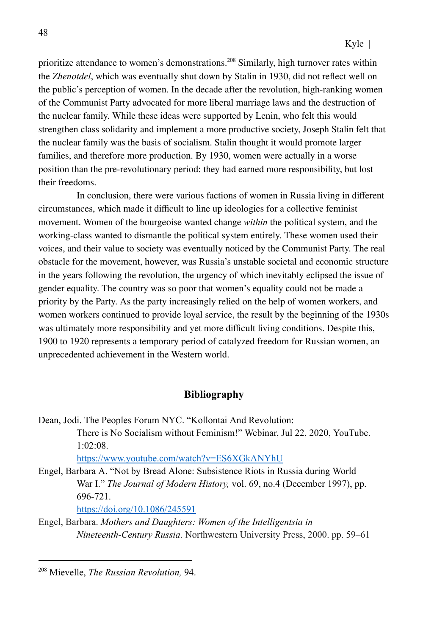prioritize attendance to women's demonstrations.<sup>208</sup> Similarly, high turnover rates within the *Zhenotdel*, which was eventually shut down by Stalin in 1930, did not reflect well on the public's perception of women. In the decade after the revolution, high-ranking women of the Communist Party advocated for more liberal marriage laws and the destruction of the nuclear family. While these ideas were supported by Lenin, who felt this would strengthen class solidarity and implement a more productive society, Joseph Stalin felt that the nuclear family was the basis of socialism. Stalin thought it would promote larger families, and therefore more production. By 1930, women were actually in a worse position than the pre-revolutionary period: they had earned more responsibility, but lost their freedoms.

In conclusion, there were various factions of women in Russia living in different circumstances, which made it difficult to line up ideologies for a collective feminist movement. Women of the bourgeoise wanted change *within* the political system, and the working-class wanted to dismantle the political system entirely. These women used their voices, and their value to society was eventually noticed by the Communist Party. The real obstacle for the movement, however, was Russia's unstable societal and economic structure in the years following the revolution, the urgency of which inevitably eclipsed the issue of gender equality. The country was so poor that women's equality could not be made a priority by the Party. As the party increasingly relied on the help of women workers, and women workers continued to provide loyal service, the result by the beginning of the 1930s was ultimately more responsibility and yet more difficult living conditions. Despite this, 1900 to 1920 represents a temporary period of catalyzed freedom for Russian women, an unprecedented achievement in the Western world.

### **Bibliography**

Dean, Jodi. The Peoples Forum NYC. "Kollontai And Revolution: There is No Socialism without Feminism!" Webinar, Jul 22, 2020, YouTube. 1:02:08.

https://www.youtube.com/watch?v=ES6XGkANYhU

Engel, Barbara A. "Not by Bread Alone: Subsistence Riots in Russia during World War I." *The Journal of Modern History,* vol. 69, no.4 (December 1997), pp. 696-721.

https://doi.org/10.1086/245591

Engel, Barbara. *Mothers and Daughters: Women of the Intelligentsia in Nineteenth-Century Russia*. Northwestern University Press, 2000. pp. 59–61

<sup>208</sup> Mievelle, *The Russian Revolution,* 94.